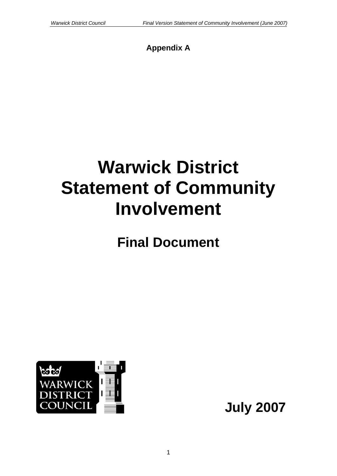# **Appendix A**

# **Warwick District Statement of Community Involvement**

**Final Document** 



**July 2007**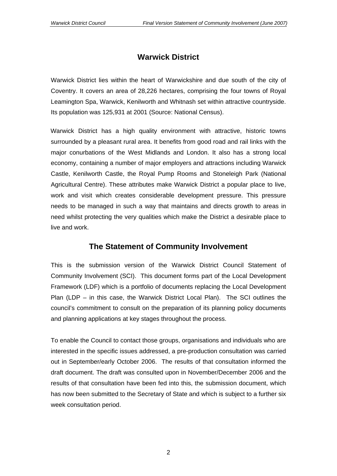## **Warwick District**

Warwick District lies within the heart of Warwickshire and due south of the city of Coventry. It covers an area of 28,226 hectares, comprising the four towns of Royal Leamington Spa, Warwick, Kenilworth and Whitnash set within attractive countryside. Its population was 125,931 at 2001 (Source: National Census).

Warwick District has a high quality environment with attractive, historic towns surrounded by a pleasant rural area. It benefits from good road and rail links with the major conurbations of the West Midlands and London. It also has a strong local economy, containing a number of major employers and attractions including Warwick Castle, Kenilworth Castle, the Royal Pump Rooms and Stoneleigh Park (National Agricultural Centre). These attributes make Warwick District a popular place to live, work and visit which creates considerable development pressure. This pressure needs to be managed in such a way that maintains and directs growth to areas in need whilst protecting the very qualities which make the District a desirable place to live and work.

## **The Statement of Community Involvement**

This is the submission version of the Warwick District Council Statement of Community Involvement (SCI). This document forms part of the Local Development Framework (LDF) which is a portfolio of documents replacing the Local Development Plan (LDP – in this case, the Warwick District Local Plan). The SCI outlines the council's commitment to consult on the preparation of its planning policy documents and planning applications at key stages throughout the process.

To enable the Council to contact those groups, organisations and individuals who are interested in the specific issues addressed, a pre-production consultation was carried out in September/early October 2006. The results of that consultation informed the draft document. The draft was consulted upon in November/December 2006 and the results of that consultation have been fed into this, the submission document, which has now been submitted to the Secretary of State and which is subject to a further six week consultation period.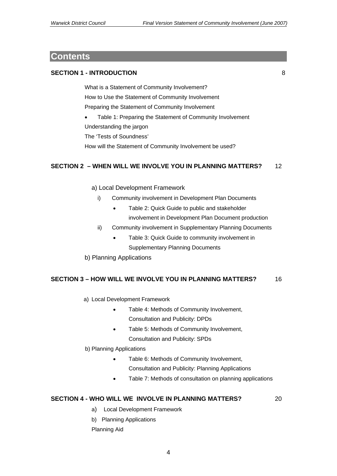## **Contents**

## **SECTION 1 - INTRODUCTION** 8

What is a Statement of Community Involvement? How to Use the Statement of Community Involvement Preparing the Statement of Community Involvement

- Table 1: Preparing the Statement of Community Involvement
- Understanding the jargon

The 'Tests of Soundness'

How will the Statement of Community Involvement be used?

## **SECTION 2 – WHEN WILL WE INVOLVE YOU IN PLANNING MATTERS?** 12

- a) Local Development Framework
	- i) Community involvement in Development Plan Documents
		- Table 2: Quick Guide to public and stakeholder
			- involvement in Development Plan Document production
	- ii) Community involvement in Supplementary Planning Documents
		- Table 3: Quick Guide to community involvement in Supplementary Planning Documents
- b) Planning Applications

#### **SECTION 3 – HOW WILL WE INVOLVE YOU IN PLANNING MATTERS?** 16

- a) Local Development Framework
	- Table 4: Methods of Community Involvement, Consultation and Publicity: DPDs
	- Table 5: Methods of Community Involvement, Consultation and Publicity: SPDs
- b) Planning Applications
	- Table 6: Methods of Community Involvement, Consultation and Publicity: Planning Applications
	- Table 7: Methods of consultation on planning applications

## **SECTION 4 - WHO WILL WE INVOLVE IN PLANNING MATTERS?** 20

- a) Local Development Framework
- b) Planning Applications

Planning Aid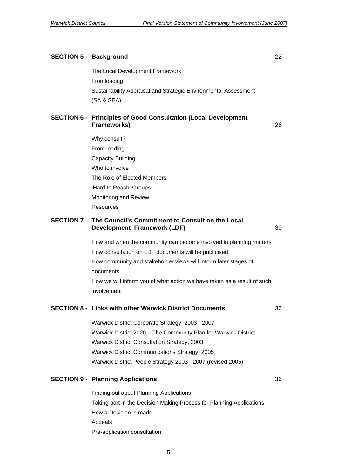#### **SECTION 5 - Background** 22

The Local Development Framework Frontloading Sustainability Appraisal and Strategic Environmental Assessment (SA & SEA)

#### **SECTION 6 - Principles of Good Consultation (Local Development Frameworks)** 26

Why consult? Front loading Capacity Building Who to involve The Role of Elected Members 'Hard to Reach' Groups Monitoring and Review Resources

#### **SECTION 7** - **The Council's Commitment to Consult on the Local Development Framework (LDF)** 30

How and when the community can become involved in planning matters How consultation on LDF documents will be publicised How community and stakeholder views will inform later stages of documents How we will inform you of what action we have taken as a result of such involvement

## **SECTION 8 - Links with other Warwick District Documents** 32

Warwick District Corporate Strategy, 2003 - 2007 Warwick District 2020 – The Community Plan for Warwick District Warwick District Consultation Strategy, 2003 Warwick District Communications Strategy, 2005 Warwick District People Strategy 2003 - 2007 (revised 2005)

## **SECTION 9 - Planning Applications** 36

Finding out about Planning Applications Taking part in the Decision Making Process for Planning Applications How a Decision is made Appeals Pre-application consultation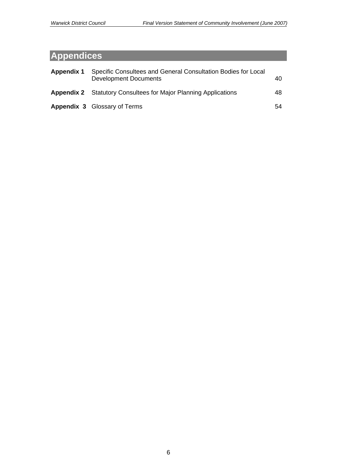# **Appendices**

| Appendix 1 | Specific Consultees and General Consultation Bodies for Local<br><b>Development Documents</b> | 40 |
|------------|-----------------------------------------------------------------------------------------------|----|
|            | <b>Appendix 2</b> Statutory Consultees for Major Planning Applications                        | 48 |
|            | <b>Appendix 3 Glossary of Terms</b>                                                           | 54 |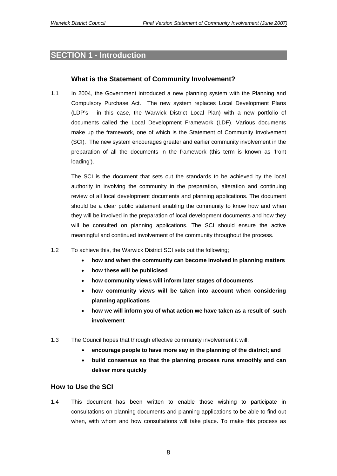## **SECTION 1 - Introduction**

## **What is the Statement of Community Involvement?**

1.1 In 2004, the Government introduced a new planning system with the Planning and Compulsory Purchase Act. The new system replaces Local Development Plans (LDP's - in this case, the Warwick District Local Plan) with a new portfolio of documents called the Local Development Framework (LDF). Various documents make up the framework, one of which is the Statement of Community Involvement (SCI). The new system encourages greater and earlier community involvement in the preparation of all the documents in the framework (this term is known as 'front loading').

The SCI is the document that sets out the standards to be achieved by the local authority in involving the community in the preparation, alteration and continuing review of all local development documents and planning applications. The document should be a clear public statement enabling the community to know how and when they will be involved in the preparation of local development documents and how they will be consulted on planning applications. The SCI should ensure the active meaningful and continued involvement of the community throughout the process.

- 1.2 To achieve this, the Warwick District SCI sets out the following;
	- **how and when the community can become involved in planning matters**
	- **how these will be publicised**
	- **how community views will inform later stages of documents**
	- **how community views will be taken into account when considering planning applications**
	- **how we will inform you of what action we have taken as a result of such involvement**
- 1.3 The Council hopes that through effective community involvement it will:
	- **encourage people to have more say in the planning of the district; and**
	- **build consensus so that the planning process runs smoothly and can deliver more quickly**

#### **How to Use the SCI**

1.4 This document has been written to enable those wishing to participate in consultations on planning documents and planning applications to be able to find out when, with whom and how consultations will take place. To make this process as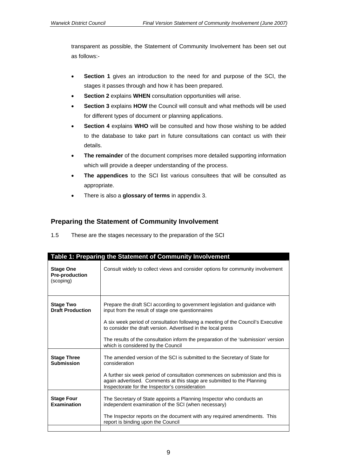transparent as possible, the Statement of Community Involvement has been set out as follows:-

- **Section 1** gives an introduction to the need for and purpose of the SCI, the stages it passes through and how it has been prepared.
- **Section 2** explains **WHEN** consultation opportunities will arise.
- **Section 3** explains **HOW** the Council will consult and what methods will be used for different types of document or planning applications.
- **Section 4** explains WHO will be consulted and how those wishing to be added to the database to take part in future consultations can contact us with their details.
- **The remainder** of the document comprises more detailed supporting information which will provide a deeper understanding of the process.
- **The appendices** to the SCI list various consultees that will be consulted as appropriate.
- There is also a **glossary of terms** in appendix 3.

## **Preparing the Statement of Community Involvement**

| 1.5 | These are the stages necessary to the preparation of the SCI |  |
|-----|--------------------------------------------------------------|--|
|     |                                                              |  |

|                                                        | Table 1: Preparing the Statement of Community Involvement                                                                                                                                                                                                                                                                                                                                                        |
|--------------------------------------------------------|------------------------------------------------------------------------------------------------------------------------------------------------------------------------------------------------------------------------------------------------------------------------------------------------------------------------------------------------------------------------------------------------------------------|
| <b>Stage One</b><br><b>Pre-production</b><br>(scoping) | Consult widely to collect views and consider options for community involvement                                                                                                                                                                                                                                                                                                                                   |
| <b>Stage Two</b><br><b>Draft Production</b>            | Prepare the draft SCI according to government legislation and guidance with<br>input from the result of stage one questionnaires<br>A six week period of consultation following a meeting of the Council's Executive<br>to consider the draft version. Advertised in the local press<br>The results of the consultation inform the preparation of the 'submission' version<br>which is considered by the Council |
| <b>Stage Three</b><br><b>Submission</b>                | The amended version of the SCI is submitted to the Secretary of State for<br>consideration<br>A further six week period of consultation commences on submission and this is<br>again advertised. Comments at this stage are submitted to the Planning<br>Inspectorate for the Inspector's consideration                                                                                                          |
| <b>Stage Four</b><br>Examination                       | The Secretary of State appoints a Planning Inspector who conducts an<br>independent examination of the SCI (when necessary)<br>The Inspector reports on the document with any required amendments. This<br>report is binding upon the Council                                                                                                                                                                    |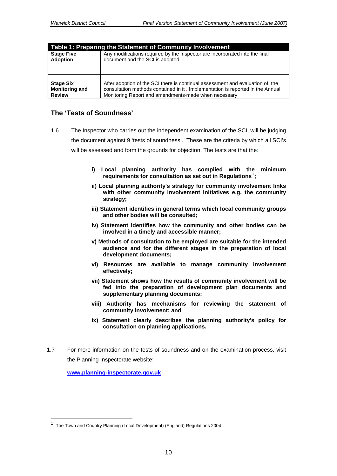| Table 1: Preparing the Statement of Community Involvement |                                                                                |  |  |  |  |  |  |
|-----------------------------------------------------------|--------------------------------------------------------------------------------|--|--|--|--|--|--|
| <b>Stage Five</b>                                         | Any modifications required by the Inspector are incorporated into the final    |  |  |  |  |  |  |
| <b>Adoption</b>                                           | document and the SCI is adopted                                                |  |  |  |  |  |  |
| <b>Stage Six</b>                                          | After adoption of the SCI there is continual assessment and evaluation of the  |  |  |  |  |  |  |
| <b>Monitoring and</b>                                     | consultation methods contained in it. Implementation is reported in the Annual |  |  |  |  |  |  |
| <b>Review</b>                                             | Monitoring Report and amendments-made when necessary                           |  |  |  |  |  |  |

## **The 'Tests of Soundness'**

- 1.6 The Inspector who carries out the independent examination of the SCI, will be judging the document against 9 'tests of soundness'. These are the criteria by which all SCI's will be assessed and form the grounds for objection. The tests are that the:
	- **i) Local planning authority has complied with the minimum requirements for consultation as set out in Regulations[1](#page-9-0) ;**
	- **ii) Local planning authority's strategy for community involvement links with other community involvement initiatives e.g. the community strategy;**
	- **iii) Statement identifies in general terms which local community groups and other bodies will be consulted;**
	- **iv) Statement identifies how the community and other bodies can be involved in a timely and accessible manner;**
	- **v) Methods of consultation to be employed are suitable for the intended audience and for the different stages in the preparation of local development documents;**
	- **vi) Resources are available to manage community involvement effectively;**
	- **vii) Statement shows how the results of community involvement will be fed into the preparation of development plan documents and supplementary planning documents;**
	- **viii) Authority has mechanisms for reviewing the statement of community involvement; and**
	- **ix) Statement clearly describes the planning authority's policy for consultation on planning applications.**
- 1.7 For more information on the tests of soundness and on the examination process, visit the Planning Inspectorate website;

**[www.planning-inspectorate.gov.uk](http://www.planning-inspectorate.gov.uk/)**

<span id="page-9-0"></span><sup>1</sup> The Town and Country Planning (Local Development) (England) Regulations 2004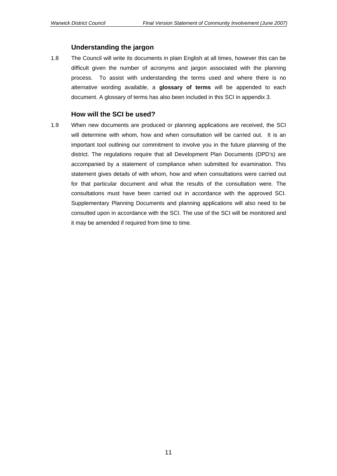## **Understanding the jargon**

1.8 The Council will write its documents in plain English at all times, however this can be difficult given the number of acronyms and jargon associated with the planning process. To assist with understanding the terms used and where there is no alternative wording available, a **glossary of terms** will be appended to each document. A glossary of terms has also been included in this SCI in appendix 3*.* 

#### **How will the SCI be used?**

1.9 When new documents are produced or planning applications are received, the SCI will determine with whom, how and when consultation will be carried out. It is an important tool outlining our commitment to involve you in the future planning of the district. The regulations require that all Development Plan Documents (DPD's) are accompanied by a statement of compliance when submitted for examination. This statement gives details of with whom, how and when consultations were carried out for that particular document and what the results of the consultation were. The consultations must have been carried out in accordance with the approved SCI. Supplementary Planning Documents and planning applications will also need to be consulted upon in accordance with the SCI. The use of the SCI will be monitored and it may be amended if required from time to time.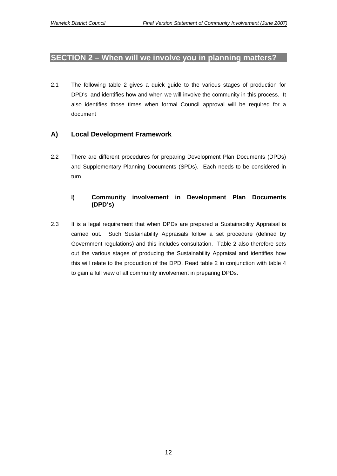## **SECTION 2 – When will we involve you in planning matters?**

2.1 The following table 2 gives a quick guide to the various stages of production for DPD's, and identifies how and when we will involve the community in this process. It also identifies those times when formal Council approval will be required for a document

## **A) Local Development Framework**

2.2 There are different procedures for preparing Development Plan Documents (DPDs) and Supplementary Planning Documents (SPDs). Each needs to be considered in turn.

## **i) Community involvement in Development Plan Documents (DPD's)**

2.3 It is a legal requirement that when DPDs are prepared a Sustainability Appraisal is carried out. Such Sustainability Appraisals follow a set procedure (defined by Government regulations) and this includes consultation. Table 2 also therefore sets out the various stages of producing the Sustainability Appraisal and identifies how this will relate to the production of the DPD. Read table 2 in conjunction with table 4 to gain a full view of all community involvement in preparing DPDs.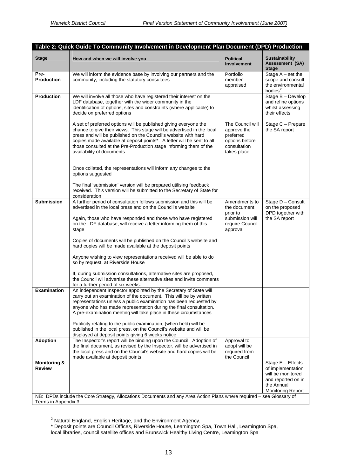| <b>Stage</b>                             | How and when we will involve you                                                                                                                                                                                                                                                                                                                                                         | <b>Political</b><br><b>Involvement</b>                                                        | <b>Sustainability</b><br><b>Assessment (SA)</b><br><b>Stage</b>                                                             |
|------------------------------------------|------------------------------------------------------------------------------------------------------------------------------------------------------------------------------------------------------------------------------------------------------------------------------------------------------------------------------------------------------------------------------------------|-----------------------------------------------------------------------------------------------|-----------------------------------------------------------------------------------------------------------------------------|
| Pre-<br><b>Production</b>                | We will inform the evidence base by involving our partners and the<br>community, including the statutory consultees                                                                                                                                                                                                                                                                      | Portfolio<br>member<br>appraised                                                              | Stage $A - set$ the<br>scope and consult<br>the environmental<br>bodies <sup>2</sup>                                        |
| <b>Production</b>                        | We will involve all those who have registered their interest on the<br>LDF database, together with the wider community in the<br>identification of options, sites and constraints (where applicable) to<br>decide on preferred options                                                                                                                                                   |                                                                                               | Stage B - Develop<br>and refine options<br>whilst assessing<br>their effects                                                |
|                                          | A set of preferred options will be published giving everyone the<br>chance to give their views. This stage will be advertised in the local<br>press and will be published on the Council's website with hard<br>copies made available at deposit points*. A letter will be sent to all<br>those consulted at the Pre-Production stage informing them of the<br>availability of documents | The Council will<br>approve the<br>preferred<br>options before<br>consultation<br>takes place | Stage C - Prepare<br>the SA report                                                                                          |
|                                          | Once collated, the representations will inform any changes to the<br>options suggested                                                                                                                                                                                                                                                                                                   |                                                                                               |                                                                                                                             |
|                                          | The final 'submission' version will be prepared utilising feedback<br>received. This version will be submitted to the Secretary of State for<br>consideration                                                                                                                                                                                                                            |                                                                                               |                                                                                                                             |
| <b>Submission</b>                        | A further period of consultation follows submission and this will be<br>advertised in the local press and on the Council's website                                                                                                                                                                                                                                                       | Amendments to<br>the document<br>prior to                                                     | Stage D - Consult<br>on the proposed<br>DPD together with<br>the SA report                                                  |
|                                          | Again, those who have responded and those who have registered<br>on the LDF database, will receive a letter informing them of this<br>stage                                                                                                                                                                                                                                              | submission will<br>require Council<br>approval                                                |                                                                                                                             |
|                                          | Copies of documents will be published on the Council's website and<br>hard copies will be made available at the deposit points                                                                                                                                                                                                                                                           |                                                                                               |                                                                                                                             |
|                                          | Anyone wishing to view representations received will be able to do<br>so by request, at Riverside House                                                                                                                                                                                                                                                                                  |                                                                                               |                                                                                                                             |
|                                          | If, during submission consultations, alternative sites are proposed,<br>the Council will advertise these alternative sites and invite comments<br>for a further period of six weeks.                                                                                                                                                                                                     |                                                                                               |                                                                                                                             |
| <b>Examination</b>                       | An independent Inspector appointed by the Secretary of State will<br>carry out an examination of the document. This will be by written<br>representations unless a public examination has been requested by<br>anyone who has made representation during the final consultation.<br>A pre-examination meeting will take place in these circumstances                                     |                                                                                               |                                                                                                                             |
|                                          | Publicity relating to the public examination, (when held) will be<br>published in the local press, on the Council's website and will be<br>displayed at deposit points giving 6 weeks notice                                                                                                                                                                                             |                                                                                               |                                                                                                                             |
| <b>Adoption</b>                          | The Inspector's report will be binding upon the Council. Adoption of<br>the final document, as revised by the Inspector, will be advertised in<br>the local press and on the Council's website and hard copies will be<br>made available at deposit points                                                                                                                               | Approval to<br>adopt will be<br>required from<br>the Council                                  |                                                                                                                             |
| <b>Monitoring &amp;</b><br><b>Review</b> |                                                                                                                                                                                                                                                                                                                                                                                          |                                                                                               | Stage E - Effects<br>of implementation<br>will be monitored<br>and reported on in<br>the Annual<br><b>Monitoring Report</b> |
| Terms in Appendix 3                      | NB: DPDs include the Core Strategy, Allocations Documents and any Area Action Plans where required - see Glossary of                                                                                                                                                                                                                                                                     |                                                                                               |                                                                                                                             |

 2 Natural England, English Heritage, and the Environment Agency,

<span id="page-12-0"></span><sup>\*</sup> Deposit points are Council Offices, Riverside House, Leamington Spa, Town Hall, Leamington Spa,

local libraries, council satellite offices and Brunswick Healthy Living Centre, Leamington Spa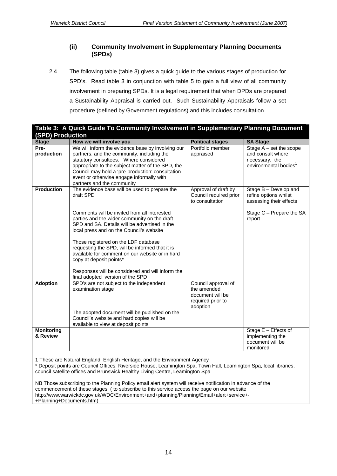## **(ii) Community Involvement in Supplementary Planning Documents (SPDs)**

2.4 The following table (table 3) gives a quick guide to the various stages of production for SPD's. Read table 3 in conjunction with table 5 to gain a full view of all community involvement in preparing SPDs. It is a legal requirement that when DPDs are prepared a Sustainability Appraisal is carried out. Such Sustainability Appraisals follow a set procedure (defined by Government regulations) and this includes consultation.

|                               | Table 3: A Quick Guide To Community Involvement in Supplementary Planning Document                                                                                                                                                                                                                                                                                                                                                                                                   |                                                                                         |                                                                                                                 |
|-------------------------------|--------------------------------------------------------------------------------------------------------------------------------------------------------------------------------------------------------------------------------------------------------------------------------------------------------------------------------------------------------------------------------------------------------------------------------------------------------------------------------------|-----------------------------------------------------------------------------------------|-----------------------------------------------------------------------------------------------------------------|
| <b>(SPD) Production</b>       |                                                                                                                                                                                                                                                                                                                                                                                                                                                                                      |                                                                                         |                                                                                                                 |
| <b>Stage</b>                  | How we will involve you                                                                                                                                                                                                                                                                                                                                                                                                                                                              | <b>Political stages</b>                                                                 | <b>SA Stage</b>                                                                                                 |
| Pre-<br>production            | We will inform the evidence base by involving our<br>partners, and the community, including the<br>statutory consultees. Where considered<br>appropriate to the subject matter of the SPD, the<br>Council may hold a 'pre-production' consultation<br>event or otherwise engage informally with<br>partners and the community                                                                                                                                                        | Portfolio member<br>appraised                                                           | Stage $A - set$ the scope<br>and consult where<br>necessary, the<br>environmental bodies <sup>1</sup>           |
| <b>Production</b>             | The evidence base will be used to prepare the<br>draft SPD<br>Comments will be invited from all interested<br>parties and the wider community on the draft<br>SPD and SA. Details will be advertised in the<br>local press and on the Council's website<br>Those registered on the LDF database<br>requesting the SPD, will be informed that it is<br>available for comment on our website or in hard<br>copy at deposit points*<br>Responses will be considered and will inform the | Approval of draft by<br>Council required prior<br>to consultation                       | Stage B - Develop and<br>refine options whilst<br>assessing their effects<br>Stage C - Prepare the SA<br>report |
| <b>Adoption</b>               | final adopted version of the SPD<br>SPD's are not subject to the independent<br>examination stage<br>The adopted document will be published on the<br>Council's website and hard copies will be<br>available to view at deposit points                                                                                                                                                                                                                                               | Council approval of<br>the amended<br>document will be<br>required prior to<br>adoption |                                                                                                                 |
| <b>Monitoring</b><br>& Review |                                                                                                                                                                                                                                                                                                                                                                                                                                                                                      |                                                                                         | Stage E - Effects of<br>implementing the<br>document will be<br>monitored                                       |

1 These are Natural England, English Heritage, and the Environment Agency

\* Deposit points are Council Offices, Riverside House, Leamington Spa, Town Hall, Leamington Spa, local libraries, council satellite offices and Brunswick Healthy Living Centre, Leamington Spa

NB Those subscribing to the Planning Policy email alert system will receive notification in advance of the commencement of these stages ( to subscribe to this service access the page on our website http://www.warwickdc.gov.uk/WDC/Environment+and+planning/Planning/Email+alert+service+- +Planning+Documents.htm)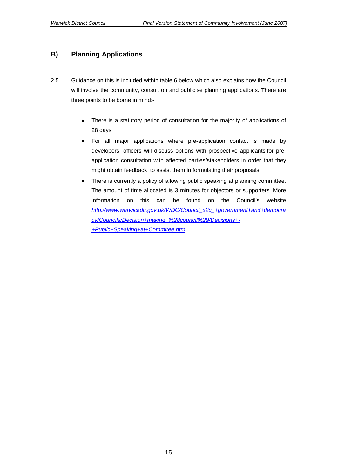## **B) Planning Applications**

- 2.5 Guidance on this is included within table 6 below which also explains how the Council will involve the community, consult on and publicise planning applications. There are three points to be borne in mind:-
	- There is a statutory period of consultation for the majority of applications of 28 days
	- For all major applications where pre-application contact is made by developers, officers will discuss options with prospective applicants for preapplication consultation with affected parties/stakeholders in order that they might obtain feedback to assist them in formulating their proposals
	- There is currently a policy of allowing public speaking at planning committee. The amount of time allocated is 3 minutes for objectors or supporters. More information on this can be found on the Council's website *[http://www.warwickdc.gov.uk/WDC/Council\\_x2c\\_+government+and+democra](http://www.warwickdc.gov.uk/WDC/Council_x2c_+government+and+democracy/Councils/Decision+making+%28council%29/Decisions+-+Public+Speaking+at+Commitee.htm) [cy/Councils/Decision+making+%28council%29/Decisions+-](http://www.warwickdc.gov.uk/WDC/Council_x2c_+government+and+democracy/Councils/Decision+making+%28council%29/Decisions+-+Public+Speaking+at+Commitee.htm) [+Public+Speaking+at+Commitee.htm](http://www.warwickdc.gov.uk/WDC/Council_x2c_+government+and+democracy/Councils/Decision+making+%28council%29/Decisions+-+Public+Speaking+at+Commitee.htm)*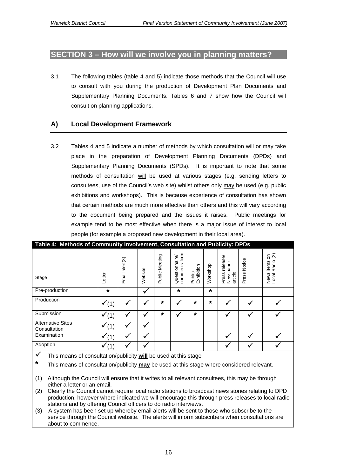## **SECTION 3 – How will we involve you in planning matters?**

3.1 The following tables (table 4 and 5) indicate those methods that the Council will use to consult with you during the production of Development Plan Documents and Supplementary Planning Documents. Tables 6 and 7 show how the Council will consult on planning applications.

## **A) Local Development Framework**

3.2 Tables 4 and 5 indicate a number of methods by which consultation will or may take place in the preparation of Development Planning Documents (DPDs) and Supplementary Planning Documents (SPDs). It is important to note that some methods of consultation will be used at various stages (e.g. sending letters to consultees, use of the Council's web site) whilst others only may be used (e.g. public exhibitions and workshops). This is because experience of consultation has shown that certain methods are much more effective than others and this will vary according to the document being prepared and the issues it raises. Public meetings for example tend to be most effective when there is a major issue of interest to local people (for example a proposed new development in their local area).

| Table 4: Methods of Community Involvement, Consultation and Publicity: DPDs |         |                         |         |                |                                    |                      |          |                                           |                 |                                                  |
|-----------------------------------------------------------------------------|---------|-------------------------|---------|----------------|------------------------------------|----------------------|----------|-------------------------------------------|-----------------|--------------------------------------------------|
| Stage                                                                       | Letter  | $a$ lert $(3)$<br>Email | Website | Public Meeting | form<br>Questionnaire/<br>comments | Exhibition<br>Public | Workshop | release/<br>Newspaper<br>Press<br>article | Notice<br>Press | $5^{\circ}$<br>Radio<br>items<br>News<br>Local I |
| Pre-production                                                              | $\star$ |                         | v       |                | $\star$                            |                      | $\star$  |                                           |                 |                                                  |
| Production                                                                  |         |                         |         | $\star$        |                                    | $\star$              | $\star$  |                                           |                 |                                                  |
| Submission                                                                  |         |                         |         | $\star$        | v                                  | $\star$              |          |                                           |                 |                                                  |
| <b>Alternative Sites</b><br>Consultation                                    |         |                         | M       |                |                                    |                      |          |                                           |                 |                                                  |
| Examination                                                                 |         |                         |         |                |                                    |                      |          |                                           |                 |                                                  |
| Adoption                                                                    |         |                         |         |                |                                    |                      |          |                                           |                 |                                                  |

**Table 4: Methods of Community Involvement, Consultation and Publicity: DPDs** 

- 3 This means of consultation/publicity **will** be used at this stage
- **\*** This means of consultation/publicity **may** be used at this stage where considered relevant.
- (1) Although the Council will ensure that it writes to all relevant consultees, this may be through either a letter or an email.
- (2) Clearly the Council cannot require local radio stations to broadcast news stories relating to DPD production, however where indicated we will encourage this through press releases to local radio stations and by offering Council officers to do radio interviews.
- (3) A system has been set up whereby email alerts will be sent to those who subscribe to the service through the Council website. The alerts will inform subscribers when consultations are about to commence.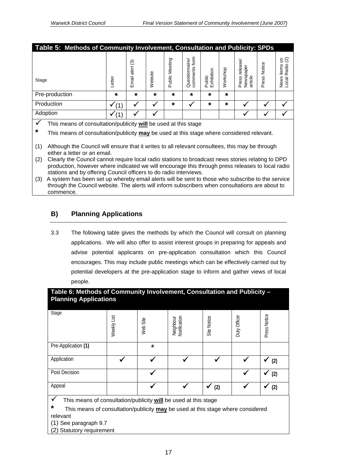| Table 5: Methods of Community Involvement, Consultation and Publicity: SPDs                                                                                                                                                                                                                                               |       |                           |         |                   |                                    |                      |          |                                           |                 |                                                                              |
|---------------------------------------------------------------------------------------------------------------------------------------------------------------------------------------------------------------------------------------------------------------------------------------------------------------------------|-------|---------------------------|---------|-------------------|------------------------------------|----------------------|----------|-------------------------------------------|-----------------|------------------------------------------------------------------------------|
| Stage                                                                                                                                                                                                                                                                                                                     | etter | $\odot$<br>alert<br>Email | Website | Meeting<br>Public | form<br>Questionnaire/<br>comments | Public<br>Exhibition | Workshop | release/<br>Newspaper<br>article<br>Press | Notice<br>Press | နု $\overline{\mathfrak{S}}$<br>adio<br>items<br>$\alpha$<br>News<br>I<br>हु |
| Pre-production                                                                                                                                                                                                                                                                                                            | *     | $\star$                   | *       | $\star$           | $\star$                            | *                    | $\star$  |                                           |                 |                                                                              |
| Production                                                                                                                                                                                                                                                                                                                |       |                           |         | $\star$           |                                    | $\star$              | $\star$  |                                           |                 |                                                                              |
| Adoption                                                                                                                                                                                                                                                                                                                  |       |                           |         |                   |                                    |                      |          |                                           |                 |                                                                              |
| This means of consultation/publicity will be used at this stage<br>M<br>$\star$<br>---<br>$\sim$ . The second contract of the second contract of the second contract of the second contract of the second contract of the second contract of the second contract of the second contract of the second contract of the sec |       |                           |         |                   |                                    |                      |          |                                           |                 |                                                                              |

- **\*** This means of consultation/publicity **may** be used at this stage where considered relevant.
- (1) Although the Council will ensure that it writes to all relevant consultees, this may be through either a letter or an email.
- (2) Clearly the Council cannot require local radio stations to broadcast news stories relating to DPD production, however where indicated we will encourage this through press releases to local radio stations and by offering Council officers to do radio interviews.
- (3) A system has been set up whereby email alerts will be sent to those who subscribe to the service through the Council website. The alerts will inform subscribers when consultations are about to commence.

## **B) Planning Applications**

3.3 The following table gives the methods by which the Council will consult on planning applications. We will also offer to assist interest groups in preparing for appeals and advise potential applicants on pre-application consultation which this Council encourages. This may include public meetings which can be effectively carried out by potential developers at the pre-application stage to inform and gather views of local people.

| Table 6: Methods of Community Involvement, Consultation and Publicity -<br><b>Planning Applications</b> |             |          |                           |             |              |              |  |  |
|---------------------------------------------------------------------------------------------------------|-------------|----------|---------------------------|-------------|--------------|--------------|--|--|
| Stage                                                                                                   | Weekly List | Web Site | Notification<br>Neighbour | Site Notice | Duty Officer | Press Notice |  |  |
| Pre-Application (1)                                                                                     |             | $\star$  |                           |             |              |              |  |  |
| Application                                                                                             |             |          |                           |             |              | (2)          |  |  |
| Post Decision                                                                                           |             |          |                           |             |              | (2)          |  |  |
| Appeal<br>This means of consultation/publicity will be used at this stage                               |             |          |                           | (2)         |              | (2)          |  |  |

3 This means of consultation/publicity **will** be used at this stage

**\*** This means of consultation/publicity **may** be used at this stage where considered

relevant

(1) See paragraph 9.7 (2) Statutory requirement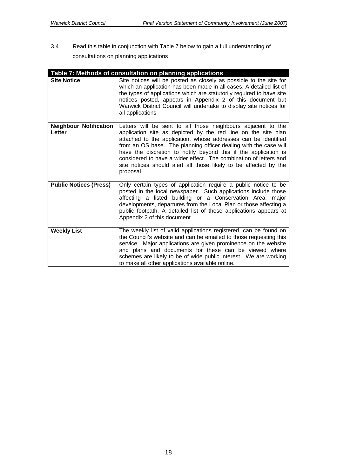3.4 Read this table in conjunction with Table 7 below to gain a full understanding of consultations on planning applications

|                                         | Table 7: Methods of consultation on planning applications                                                                                                                                                                                                                                                                                                                                                                                                                                   |
|-----------------------------------------|---------------------------------------------------------------------------------------------------------------------------------------------------------------------------------------------------------------------------------------------------------------------------------------------------------------------------------------------------------------------------------------------------------------------------------------------------------------------------------------------|
| <b>Site Notice</b>                      | Site notices will be posted as closely as possible to the site for<br>which an application has been made in all cases. A detailed list of<br>the types of applications which are statutorily required to have site<br>notices posted, appears in Appendix 2 of this document but<br>Warwick District Council will undertake to display site notices for<br>all applications                                                                                                                 |
| <b>Neighbour Notification</b><br>Letter | Letters will be sent to all those neighbours adjacent to the<br>application site as depicted by the red line on the site plan<br>attached to the application, whose addresses can be identified<br>from an OS base. The planning officer dealing with the case will<br>have the discretion to notify beyond this if the application is<br>considered to have a wider effect. The combination of letters and<br>site notices should alert all those likely to be affected by the<br>proposal |
| <b>Public Notices (Press)</b>           | Only certain types of application require a public notice to be<br>posted in the local newspaper. Such applications include those<br>affecting a listed building or a Conservation Area, major<br>developments, departures from the Local Plan or those affecting a<br>public footpath. A detailed list of these applications appears at<br>Appendix 2 of this document                                                                                                                     |
| <b>Weekly List</b>                      | The weekly list of valid applications registered, can be found on<br>the Council's website and can be emailed to those requesting this<br>service. Major applications are given prominence on the website<br>and plans and documents for these can be viewed where<br>schemes are likely to be of wide public interest. We are working<br>to make all other applications available online.                                                                                                  |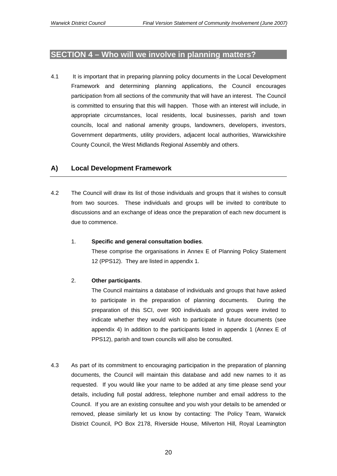## **SECTION 4 – Who will we involve in planning matters?**

4.1 It is important that in preparing planning policy documents in the Local Development Framework and determining planning applications, the Council encourages participation from all sections of the community that will have an interest. The Council is committed to ensuring that this will happen. Those with an interest will include, in appropriate circumstances, local residents, local businesses, parish and town councils, local and national amenity groups, landowners, developers, investors, Government departments, utility providers, adjacent local authorities, Warwickshire County Council, the West Midlands Regional Assembly and others.

## **A) Local Development Framework**

4.2 The Council will draw its list of those individuals and groups that it wishes to consult from two sources. These individuals and groups will be invited to contribute to discussions and an exchange of ideas once the preparation of each new document is due to commence.

#### 1. **Specific and general consultation bodies**.

These comprise the organisations in Annex E of Planning Policy Statement 12 (PPS12). They are listed in appendix 1.

#### 2. **Other participants**.

The Council maintains a database of individuals and groups that have asked to participate in the preparation of planning documents. During the preparation of this SCI, over 900 individuals and groups were invited to indicate whether they would wish to participate in future documents (see appendix 4) In addition to the participants listed in appendix 1 (Annex E of PPS12), parish and town councils will also be consulted.

4.3 As part of its commitment to encouraging participation in the preparation of planning documents, the Council will maintain this database and add new names to it as requested. If you would like your name to be added at any time please send your details, including full postal address, telephone number and email address to the Council. If you are an existing consultee and you wish your details to be amended or removed, please similarly let us know by contacting: The Policy Team, Warwick District Council, PO Box 2178, Riverside House, Milverton Hill, Royal Leamington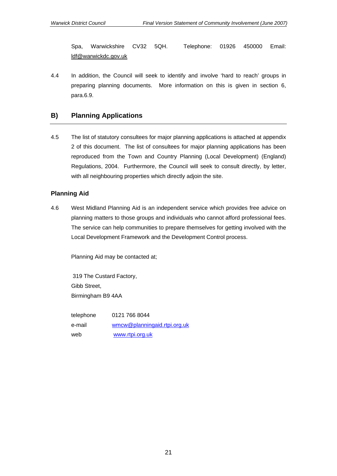Spa, Warwickshire CV32 5QH. Telephone: 01926 450000 Email: [ldf@warwickdc.gov.uk](mailto:ldf@warwickdc.gov.uk)

4.4 In addition, the Council will seek to identify and involve 'hard to reach' groups in preparing planning documents. More information on this is given in section 6, para.6.9.

## **B) Planning Applications**

4.5 The list of statutory consultees for major planning applications is attached at appendix 2 of this document. The list of consultees for major planning applications has been reproduced from the Town and Country Planning (Local Development) (England) Regulations, 2004. Furthermore, the Council will seek to consult directly, by letter, with all neighbouring properties which directly adjoin the site.

## **Planning Aid**

4.6 West Midland Planning Aid is an independent service which provides free advice on planning matters to those groups and individuals who cannot afford professional fees. The service can help communities to prepare themselves for getting involved with the Local Development Framework and the Development Control process.

Planning Aid may be contacted at;

 319 The Custard Factory, Gibb Street, Birmingham B9 4AA

 telephone 0121 766 8044 e-mail [wmcw@planningaid.rtpi.org.uk](mailto:wmco@planningaid.rtpi.org.uk) web [www.rtpi.org.uk](http://www.rtpi.org.uk/)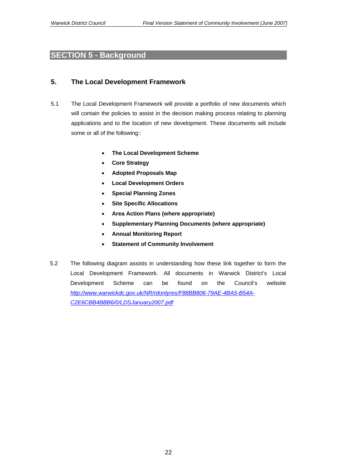## **SECTION 5 - Background**

## **5. The Local Development Framework**

- 5.1 The Local Development Framework will provide a portfolio of new documents which will contain the policies to assist in the decision making process relating to planning applications and to the location of new development. These documents will include some or all of the following::
	- **The Local Development Scheme**
	- **Core Strategy**
	- **Adopted Proposals Map**
	- **Local Development Orders**
	- **Special Planning Zones**
	- **Site Specific Allocations**
	- **Area Action Plans (where appropriate)**
	- **Supplementary Planning Documents (where appropriate)**
	- **Annual Monitoring Report**
	- **Statement of Community Involvement**
- 5.2 The following diagram assists in understanding how these link together to form the Local Development Framework. All documents in Warwick District's Local Development Scheme can be found on the Council's website *[http://www.warwickdc.gov.uk/NR/rdonlyres/F88BB806-79AE-4BA5-B54A-](http://www.warwickdc.gov.uk/NR/rdonlyres/F88BB806-79AE-4BA5-B54A-C2E6CBB4BBB6/0/LDSJanuary2007.pdf)[C2E6CBB4BBB6/0/LDSJanuary2007.pdf](http://www.warwickdc.gov.uk/NR/rdonlyres/F88BB806-79AE-4BA5-B54A-C2E6CBB4BBB6/0/LDSJanuary2007.pdf)*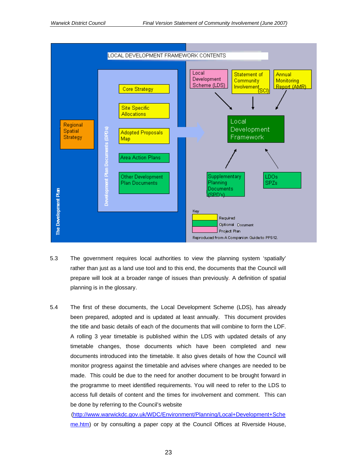

- 5.3 The government requires local authorities to view the planning system 'spatially' rather than just as a land use tool and to this end, the documents that the Council will prepare will look at a broader range of issues than previously*.* A definition of spatial planning is in the glossary.
- 5.4 The first of these documents, the Local Development Scheme (LDS), has already been prepared, adopted and is updated at least annually. This document provides the title and basic details of each of the documents that will combine to form the LDF. A rolling 3 year timetable is published within the LDS with updated details of any timetable changes, those documents which have been completed and new documents introduced into the timetable. It also gives details of how the Council will monitor progress against the timetable and advises where changes are needed to be made. This could be due to the need for another document to be brought forward in the programme to meet identified requirements. You will need to refer to the LDS to access full details of content and the times for involvement and comment. This can be done by referring to the Council's website

[\(http://www.warwickdc.gov.uk/WDC/Environment/Planning/Local+Development+Sche](http://www.warwickdc.gov.uk/WDC/Environment/Planning/Local+Development+Scheme.htm) [me.htm\)](http://www.warwickdc.gov.uk/WDC/Environment/Planning/Local+Development+Scheme.htm) or by consulting a paper copy at the Council Offices at Riverside House,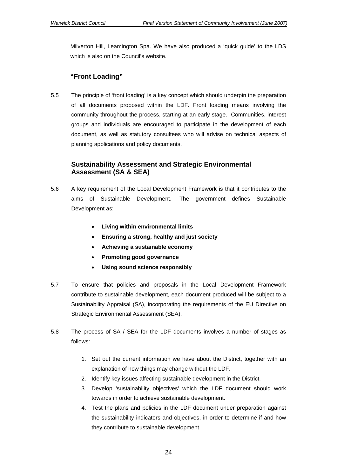Milverton Hill, Leamington Spa. We have also produced a 'quick guide' to the LDS which is also on the Council's website.

## **"Front Loading"**

5.5 The principle of 'front loading' is a key concept which should underpin the preparation of all documents proposed within the LDF. Front loading means involving the community throughout the process, starting at an early stage. Communities, interest groups and individuals are encouraged to participate in the development of each document, as well as statutory consultees who will advise on technical aspects of planning applications and policy documents.

## **Sustainability Assessment and Strategic Environmental Assessment (SA & SEA)**

- 5.6 A key requirement of the Local Development Framework is that it contributes to the aims of Sustainable Development. The government defines Sustainable Development as:
	- **Living within environmental limits**
	- **Ensuring a strong, healthy and just society**
	- **Achieving a sustainable economy**
	- **Promoting good governance**
	- **Using sound science responsibly**
- 5.7 To ensure that policies and proposals in the Local Development Framework contribute to sustainable development, each document produced will be subject to a Sustainability Appraisal (SA), incorporating the requirements of the EU Directive on Strategic Environmental Assessment (SEA).
- 5.8 The process of SA / SEA for the LDF documents involves a number of stages as follows:
	- 1. Set out the current information we have about the District, together with an explanation of how things may change without the LDF.
	- 2. Identify key issues affecting sustainable development in the District.
	- 3. Develop 'sustainability objectives' which the LDF document should work towards in order to achieve sustainable development.
	- 4. Test the plans and policies in the LDF document under preparation against the sustainability indicators and objectives, in order to determine if and how they contribute to sustainable development.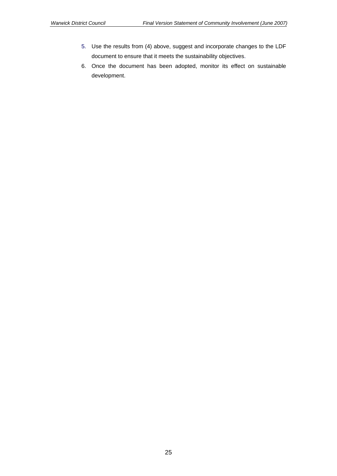- 5. Use the results from (4) above, suggest and incorporate changes to the LDF document to ensure that it meets the sustainability objectives.
- 6. Once the document has been adopted, monitor its effect on sustainable development.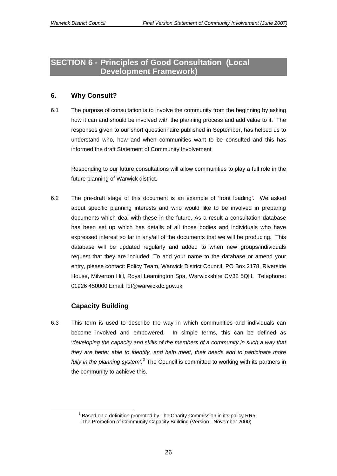## **SECTION 6 - Principles of Good Consultation (Local Development Framework)**

## **6. Why Consult?**

6.1 The purpose of consultation is to involve the community from the beginning by asking how it can and should be involved with the planning process and add value to it. The responses given to our short questionnaire published in September, has helped us to understand who, how and when communities want to be consulted and this has informed the draft Statement of Community Involvement

Responding to our future consultations will allow communities to play a full role in the future planning of Warwick district.

6.2 The pre-draft stage of this document is an example of 'front loading'. We asked about specific planning interests and who would like to be involved in preparing documents which deal with these in the future. As a result a consultation database has been set up which has details of all those bodies and individuals who have expressed interest so far in any/all of the documents that we will be producing. This database will be updated regularly and added to when new groups/individuals request that they are included. To add your name to the database or amend your entry, please contact: Policy Team, Warwick District Council, PO Box 2178, Riverside House, Milverton Hill, Royal Leamington Spa, Warwickshire CV32 5QH. Telephone: 01926 450000 Email: ldf@warwickdc.gov.uk

## **Capacity Building**

6.3 This term is used to describe the way in which communities and individuals can become involved and empowered. In simple terms, this can be defined as '*developing the capacity and skills of the members of a community in such a way that they are better able to identify, and help meet, their needs and to participate more fully in the planning system'.[3](#page-25-0)* The Council is committed to working with its partners in the community to achieve this.

 $3$  Based on a definition promoted by The Charity Commission in it's policy RR5

<span id="page-25-0"></span><sup>-</sup> The Promotion of Community Capacity Building (Version - November 2000)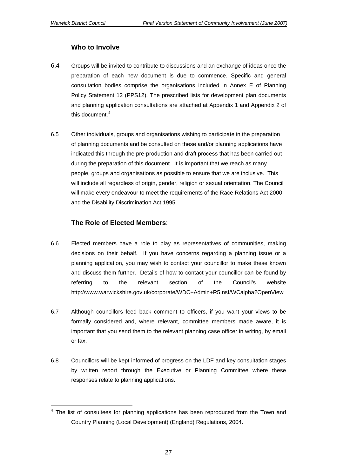$\overline{a}$ 

## **Who to Involve**

- 6.4 Groups will be invited to contribute to discussions and an exchange of ideas once the preparation of each new document is due to commence. Specific and general consultation bodies comprise the organisations included in Annex E of Planning Policy Statement 12 (PPS12). The prescribed lists for development plan documents and planning application consultations are attached at Appendix 1 and Appendix 2 of this document.<sup>[4](#page-26-0)</sup>
- 6.5Other individuals, groups and organisations wishing to participate in the preparation of planning documents and be consulted on these and/or planning applications have indicated this through the pre-production and draft process that has been carried out during the preparation of this document. It is important that we reach as many people, groups and organisations as possible to ensure that we are inclusive. This will include all regardless of origin, gender, religion or sexual orientation. The Council will make every endeavour to meet the requirements of the Race Relations Act 2000 and the Disability Discrimination Act 1995.

## **The Role of Elected Members**:

- 6.6 Elected members have a role to play as representatives of communities, making decisions on their behalf. If you have concerns regarding a planning issue or a planning application, you may wish to contact your councillor to make these known and discuss them further. Details of how to contact your councillor can be found by referring to the relevant section of the Council's website <http://www.warwickshire.gov.uk/corporate/WDC+Admin+R5.nsf/WCalpha?OpenView>
- 6.7 Although councillors feed back comment to officers, if you want your views to be formally considered and, where relevant, committee members made aware, it is important that you send them to the relevant planning case officer in writing, by email or fax.
- 6.8 Councillors will be kept informed of progress on the LDF and key consultation stages by written report through the Executive or Planning Committee where these responses relate to planning applications.

<span id="page-26-0"></span> $4$  The list of consultees for planning applications has been reproduced from the Town and Country Planning (Local Development) (England) Regulations, 2004.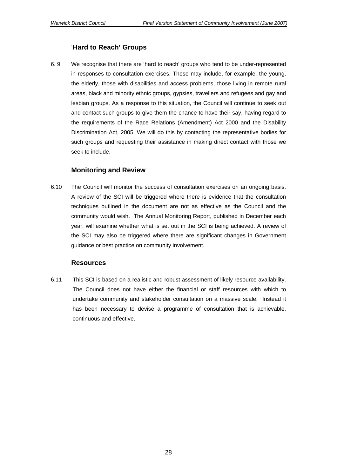## '**Hard to Reach' Groups**

6. 9 We recognise that there are 'hard to reach' groups who tend to be under-represented in responses to consultation exercises. These may include, for example, the young, the elderly, those with disabilities and access problems, those living in remote rural areas, black and minority ethnic groups, gypsies, travellers and refugees and gay and lesbian groups. As a response to this situation, the Council will continue to seek out and contact such groups to give them the chance to have their say, having regard to the requirements of the Race Relations (Amendment) Act 2000 and the Disability Discrimination Act, 2005. We will do this by contacting the representative bodies for such groups and requesting their assistance in making direct contact with those we seek to include.

#### **Monitoring and Review**

6.10 The Council will monitor the success of consultation exercises on an ongoing basis. A review of the SCI will be triggered where there is evidence that the consultation techniques outlined in the document are not as effective as the Council and the community would wish. The Annual Monitoring Report, published in December each year, will examine whether what is set out in the SCI is being achieved. A review of the SCI may also be triggered where there are significant changes in Government guidance or best practice on community involvement.

#### **Resources**

6.11 This SCI is based on a realistic and robust assessment of likely resource availability. The Council does not have either the financial or staff resources with which to undertake community and stakeholder consultation on a massive scale. Instead it has been necessary to devise a programme of consultation that is achievable, continuous and effective.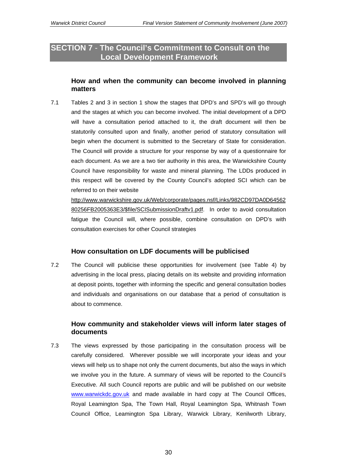## **SECTION 7** - **The Council's Commitment to Consult on the Local Development Framework**

## **How and when the community can become involved in planning matters**

7.1 Tables 2 and 3 in section 1 show the stages that DPD's and SPD's will go through and the stages at which you can become involved. The initial development of a DPD will have a consultation period attached to it, the draft document will then be statutorily consulted upon and finally, another period of statutory consultation will begin when the document is submitted to the Secretary of State for consideration. The Council will provide a structure for your response by way of a questionnaire for each document. As we are a two tier authority in this area, the Warwickshire County Council have responsibility for waste and mineral planning. The LDDs produced in this respect will be covered by the County Council's adopted SCI which can be referred to on their website

[http://www.warwickshire.gov.uk/Web/corporate/pages.nsf/Links/982CD97DA0D64562](http://www.warwickshire.gov.uk/Web/corporate/pages.nsf/Links/982CD97DA0D6456280256FB2005363E3/$file/SCISubmissionDraftv1.pdf) [80256FB2005363E3/\\$file/SCISubmissionDraftv1.pdf.](http://www.warwickshire.gov.uk/Web/corporate/pages.nsf/Links/982CD97DA0D6456280256FB2005363E3/$file/SCISubmissionDraftv1.pdf) In order to avoid consultation fatigue the Council will, where possible, combine consultation on DPD's with consultation exercises for other Council strategies

## **How consultation on LDF documents will be publicised**

7.2 The Council will publicise these opportunities for involvement (see Table 4) by advertising in the local press, placing details on its website and providing information at deposit points, together with informing the specific and general consultation bodies and individuals and organisations on our database that a period of consultation is about to commence.

## **How community and stakeholder views will inform later stages of documents**

7.3 The views expressed by those participating in the consultation process will be carefully considered. Wherever possible we will incorporate your ideas and your views will help us to shape not only the current documents, but also the ways in which we involve you in the future. A summary of views will be reported to the Council*'*s Executive. All such Council reports are public and will be published on our website [www.warwickdc.gov.uk](http://www.warwickdc.gov.uk/) and made available in hard copy at The Council Offices, Royal Leamington Spa, The Town Hall, Royal Leamington Spa, Whitnash Town Council Office, Leamington Spa Library, Warwick Library, Kenilworth Library,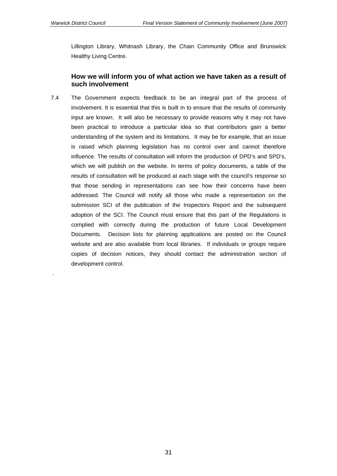.

Lillington Library, Whitnash Library, the Chain Community Office and Brunswick Healthy Living Centre.

## **How we will inform you of what action we have taken as a result of such involvement**

7.4 The Government expects feedback to be an integral part of the process of involvement. It is essential that this is built in to ensure that the results of community input are known. It will also be necessary to provide reasons why it may not have been practical to introduce a particular idea so that contributors gain a better understanding of the system and its limitations. It may be for example, that an issue is raised which planning legislation has no control over and cannot therefore influence. The results of consultation will inform the production of DPD's and SPD's, which we will publish on the website. In terms of policy documents, a table of the results of consultation will be produced at each stage with the council's response so that those sending in representations can see how their concerns have been addressed. The Council will notify all those who made a representation on the submission SCI of the publication of the Inspectors Report and the subsequent adoption of the SCI. The Council must ensure that this part of the Regulations is complied with correctly during the production of future Local Development Documents. Decision lists for planning applications are posted on the Council website and are also available from local libraries. If individuals or groups require copies of decision notices, they should contact the administration section of development control.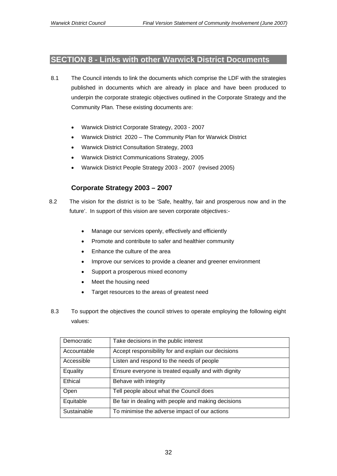## **SECTION 8 - Links with other Warwick District Documents**

- 8.1 The Council intends to link the documents which comprise the LDF with the strategies published in documents which are already in place and have been produced to underpin the corporate strategic objectives outlined in the Corporate Strategy and the Community Plan. These existing documents are:
	- Warwick District Corporate Strategy, 2003 2007
	- Warwick District 2020 The Community Plan for Warwick District
	- Warwick District Consultation Strategy, 2003
	- Warwick District Communications Strategy, 2005
	- Warwick District People Strategy 2003 2007 (revised 2005)

## **Corporate Strategy 2003 – 2007**

- 8.2 The vision for the district is to be 'Safe, healthy, fair and prosperous now and in the future'. In support of this vision are seven corporate objectives:-
	- Manage our services openly, effectively and efficiently
	- Promote and contribute to safer and healthier community
	- Enhance the culture of the area
	- Improve our services to provide a cleaner and greener environment
	- Support a prosperous mixed economy
	- Meet the housing need
	- Target resources to the areas of greatest need
- 8.3 To support the objectives the council strives to operate employing the following eight values:

| Democratic  | Take decisions in the public interest               |
|-------------|-----------------------------------------------------|
| Accountable | Accept responsibility for and explain our decisions |
| Accessible  | Listen and respond to the needs of people           |
| Equality    | Ensure everyone is treated equally and with dignity |
| Ethical     | Behave with integrity                               |
| Open        | Tell people about what the Council does             |
| Equitable   | Be fair in dealing with people and making decisions |
| Sustainable | To minimise the adverse impact of our actions       |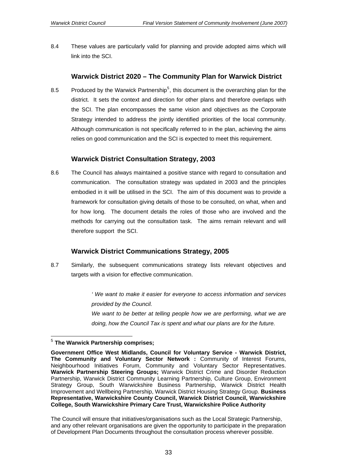8.4 These values are particularly valid for planning and provide adopted aims which will link into the SCI.

## **Warwick District 2020 – The Community Plan for Warwick District**

8.[5](#page-32-0) Produced by the Warwick Partnership<sup>5</sup>, this document is the overarching plan for the district. It sets the context and direction for other plans and therefore overlaps with the SCI. The plan encompasses the same vision and objectives as the Corporate Strategy intended to address the jointly identified priorities of the local community. Although communication is not specifically referred to in the plan, achieving the aims relies on good communication and the SCI is expected to meet this requirement.

## **Warwick District Consultation Strategy, 2003**

8.6 The Council has always maintained a positive stance with regard to consultation and communication. The consultation strategy was updated in 2003 and the principles embodied in it will be utilised in the SCI. The aim of this document was to provide a framework for consultation giving details of those to be consulted, on what, when and for how long. The document details the roles of those who are involved and the methods for carrying out the consultation task. The aims remain relevant and will therefore support the SCI.

## **Warwick District Communications Strategy, 2005**

8.7 Similarly, the subsequent communications strategy lists relevant objectives and targets with a vision for effective communication.

> *' We want to make it easier for everyone to access information and services provided by the Council.*  We want to be better at telling people how we are performing, what we are

*doing, how the Council Tax is spent and what our plans are for the future.* 

The Council will ensure that initiatives/organisations such as the Local Strategic Partnership, and any other relevant organisations are given the opportunity to participate in the preparation of Development Plan Documents throughout the consultation process wherever possible.

<span id="page-32-0"></span><sup>5</sup> **The Warwick Partnership comprises;** 

**Government Office West Midlands, Council for Voluntary Service - Warwick District, The Community and Voluntary Sector Network :** Community of Interest Forums, Neighbourhood Initiatives Forum, Community and Voluntary Sector Representatives. **Warwick Partnership Steering Groups;** Warwick District Crime and Disorder Reduction Partnership, Warwick District Community Learning Partnership, Culture Group, Environment Strategy Group, South Warwickshire Business Partnership, Warwick District Health Improvement and Wellbeing Partnership, Warwick District Housing Strategy Group. **Business Representative, Warwickshire County Council, Warwick District Council, Warwickshire College, South Warwickshire Primary Care Trust, Warwickshire Police Authority**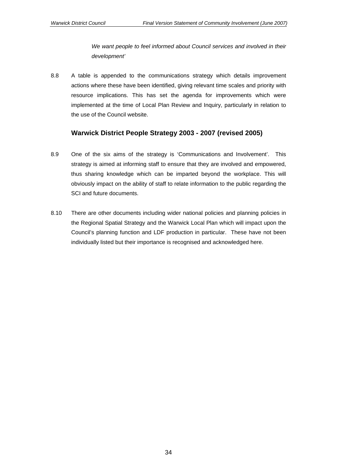*We want people to feel informed about Council services and involved in their development'* 

8.8 A table is appended to the communications strategy which details improvement actions where these have been identified, giving relevant time scales and priority with resource implications. This has set the agenda for improvements which were implemented at the time of Local Plan Review and Inquiry, particularly in relation to the use of the Council website.

## **Warwick District People Strategy 2003 - 2007 (revised 2005)**

- 8.9 One of the six aims of the strategy is 'Communications and Involvement'. This strategy is aimed at informing staff to ensure that they are involved and empowered, thus sharing knowledge which can be imparted beyond the workplace. This will obviously impact on the ability of staff to relate information to the public regarding the SCI and future documents.
- 8.10 There are other documents including wider national policies and planning policies in the Regional Spatial Strategy and the Warwick Local Plan which will impact upon the Council's planning function and LDF production in particular. These have not been individually listed but their importance is recognised and acknowledged here.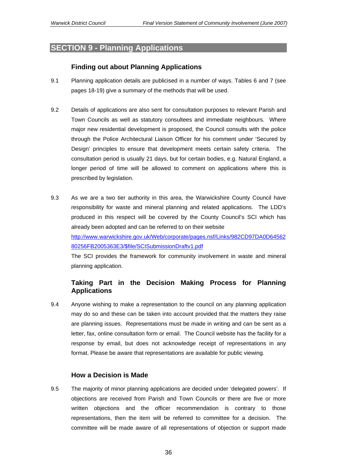## **SECTION 9 - Planning Applications**

## **Finding out about Planning Applications**

- 9.1 Planning application details are publicised in a number of ways. Tables 6 and 7 (see pages 18-19) give a summary of the methods that will be used.
- 9.2 Details of applications are also sent for consultation purposes to relevant Parish and Town Councils as well as statutory consultees and immediate neighbours. Where major new residential development is proposed, the Council consults with the police through the Police Architectural Liaison Officer for his comment under 'Secured by Design' principles to ensure that development meets certain safety criteria. The consultation period is usually 21 days, but for certain bodies, e.g. Natural England, a longer period of time will be allowed to comment on applications where this is prescribed by legislation.
- 9.3 As we are a two tier authority in this area, the Warwickshire County Council have responsibility for waste and mineral planning and related applications. The LDD's produced in this respect will be covered by the County Council's SCI which has already been adopted and can be referred to on their website [http://www.warwickshire.gov.uk/Web/corporate/pages.nsf/Links/982CD97DA0D64562](http://www.warwickshire.gov.uk/Web/corporate/pages.nsf/Links/982CD97DA0D6456280256FB2005363E3/$file/SCISubmissionDraftv1.pdf)

[80256FB2005363E3/\\$file/SCISubmissionDraftv1.pdf](http://www.warwickshire.gov.uk/Web/corporate/pages.nsf/Links/982CD97DA0D6456280256FB2005363E3/$file/SCISubmissionDraftv1.pdf) 

 The SCI provides the framework for community involvement in waste and mineral planning application.

## **Taking Part in the Decision Making Process for Planning Applications**

9.4 Anyone wishing to make a representation to the council on any planning application may do so and these can be taken into account provided that the matters they raise are planning issues. Representations must be made in writing and can be sent as a letter, fax, online consultation form or email. The Council website has the facility for a response by email, but does not acknowledge receipt of representations in any format. Please be aware that representations are available for public viewing.

## **How a Decision is Made**

9.5 The majority of minor planning applications are decided under 'delegated powers'. If objections are received from Parish and Town Councils or there are five or more written objections and the officer recommendation is contrary to those representations, then the item will be referred to committee for a decision. The committee will be made aware of all representations of objection or support made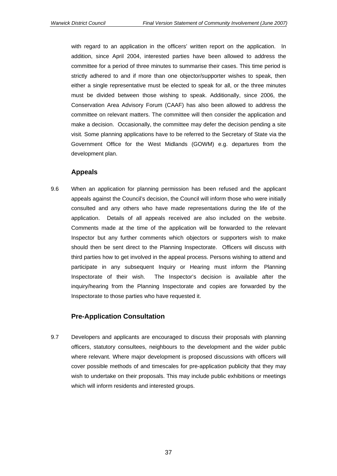with regard to an application in the officers' written report on the application. In addition, since April 2004, interested parties have been allowed to address the committee for a period of three minutes to summarise their cases. This time period is strictly adhered to and if more than one objector/supporter wishes to speak, then either a single representative must be elected to speak for all, or the three minutes must be divided between those wishing to speak. Additionally, since 2006, the Conservation Area Advisory Forum (CAAF) has also been allowed to address the committee on relevant matters. The committee will then consider the application and make a decision. Occasionally, the committee may defer the decision pending a site visit*.* Some planning applications have to be referred to the Secretary of State via the Government Office for the West Midlands (GOWM) e.g. departures from the development plan.

#### **Appeals**

9.6 When an application for planning permission has been refused and the applicant appeals against the Council's decision, the Council will inform those who were initially consulted and any others who have made representations during the life of the application. Details of all appeals received are also included on the website. Comments made at the time of the application will be forwarded to the relevant Inspector but any further comments which objectors or supporters wish to make should then be sent direct to the Planning Inspectorate. Officers will discuss with third parties how to get involved in the appeal process. Persons wishing to attend and participate in any subsequent Inquiry or Hearing must inform the Planning Inspectorate of their wish. The Inspector's decision is available after the inquiry/hearing from the Planning Inspectorate and copies are forwarded by the Inspectorate to those parties who have requested it.

## **Pre-Application Consultation**

9.7 Developers and applicants are encouraged to discuss their proposals with planning officers, statutory consultees, neighbours to the development and the wider public where relevant. Where major development is proposed discussions with officers will cover possible methods of and timescales for pre-application publicity that they may wish to undertake on their proposals. This may include public exhibitions or meetings which will inform residents and interested groups.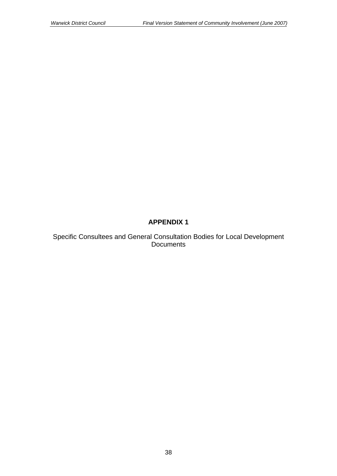## **APPENDIX 1**

Specific Consultees and General Consultation Bodies for Local Development Documents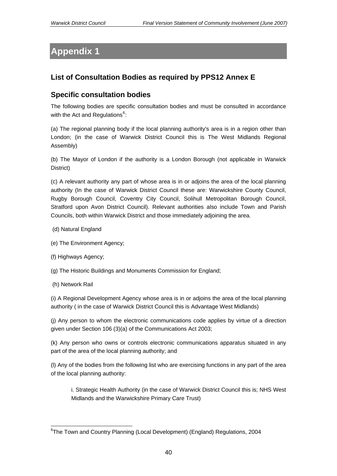# **Appendix 1**

## **List of Consultation Bodies as required by PPS12 Annex E**

## **Specific consultation bodies**

The following bodies are specific consultation bodies and must be consulted in accordance with the Act and Regulations $^6$  $^6$ :

(a) The regional planning body if the local planning authority's area is in a region other than London; (in the case of Warwick District Council this is The West Midlands Regional Assembly)

(b) The Mayor of London if the authority is a London Borough (not applicable in Warwick District)

(c) A relevant authority any part of whose area is in or adjoins the area of the local planning authority (In the case of Warwick District Council these are: Warwickshire County Council, Rugby Borough Council, Coventry City Council, Solihull Metropolitan Borough Council, Stratford upon Avon District Council). Relevant authorities also include Town and Parish Councils, both within Warwick District and those immediately adjoining the area.

- (d) Natural England
- (e) The Environment Agency;
- (f) Highways Agency;
- (g) The Historic Buildings and Monuments Commission for England;
- (h) Network Rail

(i) A Regional Development Agency whose area is in or adjoins the area of the local planning authority ( in the case of Warwick District Council this is Advantage West Midlands)

(j) Any person to whom the electronic communications code applies by virtue of a direction given under Section 106 (3)(a) of the Communications Act 2003;

(k) Any person who owns or controls electronic communications apparatus situated in any part of the area of the local planning authority; and

(l) Any of the bodies from the following list who are exercising functions in any part of the area of the local planning authority:

i. Strategic Health Authority (in the case of Warwick District Council this is; NHS West Midlands and the Warwickshire Primary Care Trust)

<span id="page-39-0"></span> <sup>6</sup>The Town and Country Planning (Local Development) (England) Regulations, 2004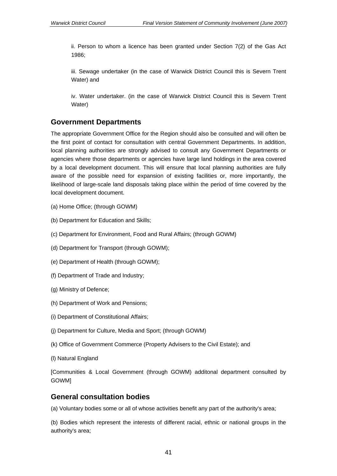ii. Person to whom a licence has been granted under Section 7(2) of the Gas Act 1986;

iii. Sewage undertaker (in the case of Warwick District Council this is Severn Trent Water) and

iv. Water undertaker. (in the case of Warwick District Council this is Severn Trent Water)

## **Government Departments**

The appropriate Government Office for the Region should also be consulted and will often be the first point of contact for consultation with central Government Departments. In addition, local planning authorities are strongly advised to consult any Government Departments or agencies where those departments or agencies have large land holdings in the area covered by a local development document. This will ensure that local planning authorities are fully aware of the possible need for expansion of existing facilities or, more importantly, the likelihood of large-scale land disposals taking place within the period of time covered by the local development document.

- (a) Home Office; (through GOWM)
- (b) Department for Education and Skills;
- (c) Department for Environment, Food and Rural Affairs; (through GOWM)
- (d) Department for Transport (through GOWM);
- (e) Department of Health (through GOWM);
- (f) Department of Trade and Industry;
- (g) Ministry of Defence;
- (h) Department of Work and Pensions;
- (i) Department of Constitutional Affairs;
- (j) Department for Culture, Media and Sport; (through GOWM)
- (k) Office of Government Commerce (Property Advisers to the Civil Estate); and
- (l) Natural England

[Communities & Local Government (through GOWM) additonal department consulted by GOWM]

## **General consultation bodies**

(a) Voluntary bodies some or all of whose activities benefit any part of the authority's area;

(b) Bodies which represent the interests of different racial, ethnic or national groups in the authority's area;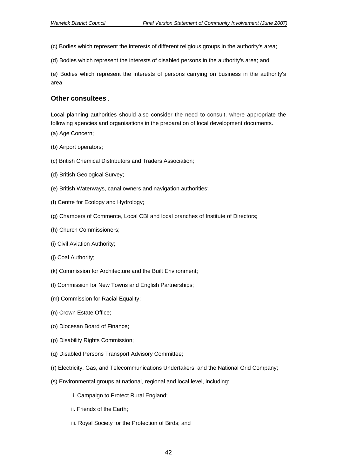- (c) Bodies which represent the interests of different religious groups in the authority's area;
- (d) Bodies which represent the interests of disabled persons in the authority's area; and

(e) Bodies which represent the interests of persons carrying on business in the authority's area.

#### **Other consultees** .

Local planning authorities should also consider the need to consult, where appropriate the following agencies and organisations in the preparation of local development documents.

- (a) Age Concern;
- (b) Airport operators;
- (c) British Chemical Distributors and Traders Association;
- (d) British Geological Survey;
- (e) British Waterways, canal owners and navigation authorities;
- (f) Centre for Ecology and Hydrology;
- (g) Chambers of Commerce, Local CBI and local branches of Institute of Directors;
- (h) Church Commissioners;
- (i) Civil Aviation Authority;
- (j) Coal Authority;
- (k) Commission for Architecture and the Built Environment;
- (l) Commission for New Towns and English Partnerships;
- (m) Commission for Racial Equality;
- (n) Crown Estate Office;
- (o) Diocesan Board of Finance;
- (p) Disability Rights Commission;
- (q) Disabled Persons Transport Advisory Committee;
- (r) Electricity, Gas, and Telecommunications Undertakers, and the National Grid Company;
- (s) Environmental groups at national, regional and local level, including:
	- i. Campaign to Protect Rural England;
	- ii. Friends of the Earth;
	- iii. Royal Society for the Protection of Birds; and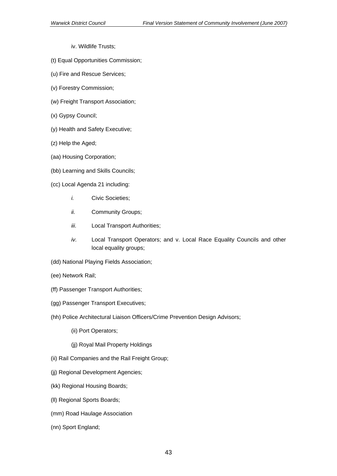- iv. Wildlife Trusts;
- (t) Equal Opportunities Commission;
- (u) Fire and Rescue Services;
- (v) Forestry Commission;
- (w) Freight Transport Association;
- (x) Gypsy Council;
- (y) Health and Safety Executive;
- (z) Help the Aged;
- (aa) Housing Corporation;
- (bb) Learning and Skills Councils;
- (cc) Local Agenda 21 including:
	- *i.* Civic Societies;
	- *ii.* Community Groups;
	- *iii.* Local Transport Authorities;
	- *iv.* Local Transport Operators; and v. Local Race Equality Councils and other local equality groups;
- (dd) National Playing Fields Association;
- (ee) Network Rail;
- (ff) Passenger Transport Authorities;
- (gg) Passenger Transport Executives;
- (hh) Police Architectural Liaison Officers/Crime Prevention Design Advisors;
	- (ii) Port Operators;
	- (jj) Royal Mail Property Holdings
- (ii) Rail Companies and the Rail Freight Group;
- (jj) Regional Development Agencies;
- (kk) Regional Housing Boards;
- (ll) Regional Sports Boards;
- (mm) Road Haulage Association
- (nn) Sport England;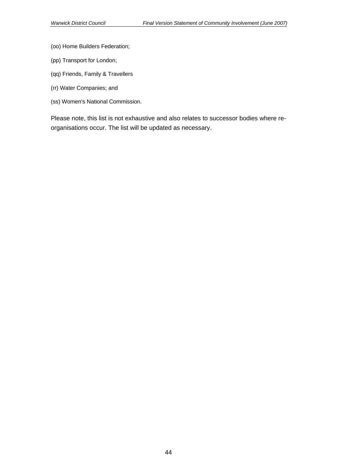- (oo) Home Builders Federation;
- (pp) Transport for London;
- (qq) Friends, Family & Travellers
- (rr) Water Companies; and
- (ss) Women's National Commission.

Please note, this list is not exhaustive and also relates to successor bodies where reorganisations occur. The list will be updated as necessary.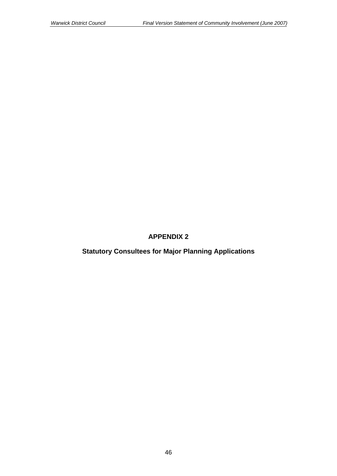## **APPENDIX 2**

**Statutory Consultees for Major Planning Applications**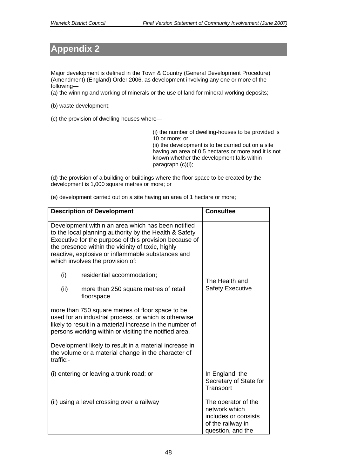# **Appendix 2**

Major development is defined in the Town & Country (General Development Procedure) (Amendment) (England) Order 2006, as development involving any one or more of the following—

(a) the winning and working of minerals or the use of land for mineral-working deposits;

(b) waste development;

(c) the provision of dwelling-houses where—

(i) the number of dwelling-houses to be provided is 10 or more; or (ii) the development is to be carried out on a site having an area of 0.5 hectares or more and it is not known whether the development falls within paragraph (c)(i);

(d) the provision of a building or buildings where the floor space to be created by the development is 1,000 square metres or more; or

(e) development carried out on a site having an area of 1 hectare or more;

|           | <b>Description of Development</b>                                                                                                                                                                                                                                                                                    | <b>Consultee</b>                                                                                       |
|-----------|----------------------------------------------------------------------------------------------------------------------------------------------------------------------------------------------------------------------------------------------------------------------------------------------------------------------|--------------------------------------------------------------------------------------------------------|
|           | Development within an area which has been notified<br>to the local planning authority by the Health & Safety<br>Executive for the purpose of this provision because of<br>the presence within the vicinity of toxic, highly<br>reactive, explosive or inflammable substances and<br>which involves the provision of: |                                                                                                        |
| (i)       | residential accommodation;                                                                                                                                                                                                                                                                                           | The Health and                                                                                         |
| (ii)      | more than 250 square metres of retail<br>floorspace                                                                                                                                                                                                                                                                  | <b>Safety Executive</b>                                                                                |
|           | more than 750 square metres of floor space to be<br>used for an industrial process, or which is otherwise<br>likely to result in a material increase in the number of<br>persons working within or visiting the notified area.                                                                                       |                                                                                                        |
| traffic:- | Development likely to result in a material increase in<br>the volume or a material change in the character of                                                                                                                                                                                                        |                                                                                                        |
|           | (i) entering or leaving a trunk road; or                                                                                                                                                                                                                                                                             | In England, the<br>Secretary of State for<br>Transport                                                 |
|           | (ii) using a level crossing over a railway                                                                                                                                                                                                                                                                           | The operator of the<br>network which<br>includes or consists<br>of the railway in<br>question, and the |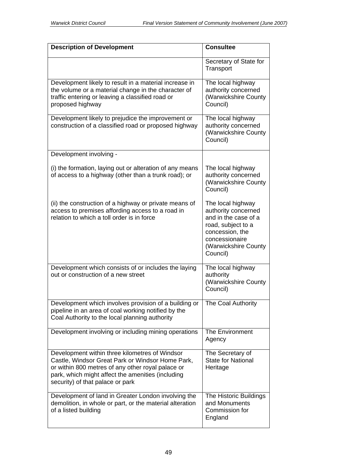| <b>Description of Development</b>                                                                                                                                                                                                                | <b>Consultee</b>                                                                                                                                                |
|--------------------------------------------------------------------------------------------------------------------------------------------------------------------------------------------------------------------------------------------------|-----------------------------------------------------------------------------------------------------------------------------------------------------------------|
|                                                                                                                                                                                                                                                  | Secretary of State for<br>Transport                                                                                                                             |
| Development likely to result in a material increase in<br>the volume or a material change in the character of<br>traffic entering or leaving a classified road or<br>proposed highway                                                            | The local highway<br>authority concerned<br>(Warwickshire County<br>Council)                                                                                    |
| Development likely to prejudice the improvement or<br>construction of a classified road or proposed highway                                                                                                                                      | The local highway<br>authority concerned<br>(Warwickshire County<br>Council)                                                                                    |
| Development involving -                                                                                                                                                                                                                          |                                                                                                                                                                 |
| (i) the formation, laying out or alteration of any means<br>of access to a highway (other than a trunk road); or                                                                                                                                 | The local highway<br>authority concerned<br>(Warwickshire County<br>Council)                                                                                    |
| (ii) the construction of a highway or private means of<br>access to premises affording access to a road in<br>relation to which a toll order is in force                                                                                         | The local highway<br>authority concerned<br>and in the case of a<br>road, subject to a<br>concession, the<br>concessionaire<br>(Warwickshire County<br>Council) |
| Development which consists of or includes the laying<br>out or construction of a new street                                                                                                                                                      | The local highway<br>authority<br>(Warwickshire County<br>Council)                                                                                              |
| Development which involves provision of a building or<br>pipeline in an area of coal working notified by the<br>Coal Authority to the local planning authority                                                                                   | The Coal Authority                                                                                                                                              |
| Development involving or including mining operations                                                                                                                                                                                             | <b>The Environment</b><br>Agency                                                                                                                                |
| Development within three kilometres of Windsor<br>Castle, Windsor Great Park or Windsor Home Park,<br>or within 800 metres of any other royal palace or<br>park, which might affect the amenities (including<br>security) of that palace or park | The Secretary of<br><b>State for National</b><br>Heritage                                                                                                       |
| Development of land in Greater London involving the<br>demolition, in whole or part, or the material alteration<br>of a listed building                                                                                                          | The Historic Buildings<br>and Monuments<br>Commission for<br>England                                                                                            |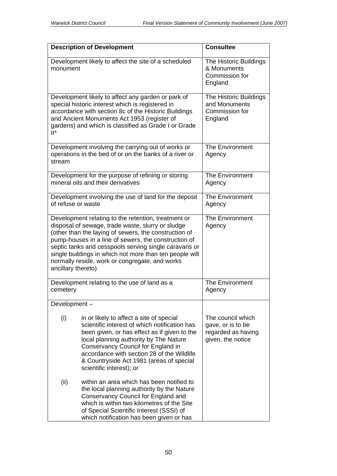| <b>Description of Development</b>                                                                                                                                                                                                                                                                                                                                                                                     |                                                                                                                                                                                                                                                                                                                                                 | <b>Consultee</b>                                                                  |
|-----------------------------------------------------------------------------------------------------------------------------------------------------------------------------------------------------------------------------------------------------------------------------------------------------------------------------------------------------------------------------------------------------------------------|-------------------------------------------------------------------------------------------------------------------------------------------------------------------------------------------------------------------------------------------------------------------------------------------------------------------------------------------------|-----------------------------------------------------------------------------------|
| monument                                                                                                                                                                                                                                                                                                                                                                                                              | Development likely to affect the site of a scheduled                                                                                                                                                                                                                                                                                            | The Historic Buildings<br>& Monuments<br>Commission for<br>England                |
| Development likely to affect any garden or park of<br>special historic interest which is registered in<br>accordance with section 8c of the Historic Buildings<br>and Ancient Monuments Act 1953 (register of<br>gardens) and which is classified as Grade I or Grade<br>$\mathbb{I}^*$                                                                                                                               |                                                                                                                                                                                                                                                                                                                                                 | The Historic Buildings<br>and Monuments<br>Commission for<br>England              |
| stream                                                                                                                                                                                                                                                                                                                                                                                                                | Development involving the carrying out of works or<br>operations in the bed of or on the banks of a river or                                                                                                                                                                                                                                    | <b>The Environment</b><br>Agency                                                  |
|                                                                                                                                                                                                                                                                                                                                                                                                                       | Development for the purpose of refining or storing<br>mineral oils and their derivatives                                                                                                                                                                                                                                                        | <b>The Environment</b><br>Agency                                                  |
| of refuse or waste                                                                                                                                                                                                                                                                                                                                                                                                    | Development involving the use of land for the deposit                                                                                                                                                                                                                                                                                           | The Environment<br>Agency                                                         |
| Development relating to the retention, treatment or<br>disposal of sewage, trade waste, slurry or sludge<br>(other than the laying of sewers, the construction of<br>pump-houses in a line of sewers, the construction of<br>septic tanks and cesspools serving single caravans or<br>single buildings in which not more than ten people will<br>normally reside, work or congregate, and works<br>ancillary thereto) |                                                                                                                                                                                                                                                                                                                                                 | <b>The Environment</b><br>Agency                                                  |
| cemetery                                                                                                                                                                                                                                                                                                                                                                                                              | Development relating to the use of land as a                                                                                                                                                                                                                                                                                                    | <b>The Environment</b><br>Agency                                                  |
| Development-                                                                                                                                                                                                                                                                                                                                                                                                          |                                                                                                                                                                                                                                                                                                                                                 |                                                                                   |
| (i)                                                                                                                                                                                                                                                                                                                                                                                                                   | in or likely to affect a site of special<br>scientific interest of which notification has<br>been given, or has effect as if given to the<br>local planning authority by The Nature<br>Conservancy Council for England in<br>accordance with section 28 of the Wildlife<br>& Countryside Act 1981 (areas of special<br>scientific interest); or | The council which<br>gave, or is to be<br>regarded as having<br>given, the notice |
| (ii)                                                                                                                                                                                                                                                                                                                                                                                                                  | within an area which has been notified to<br>the local planning authority by the Nature<br>Conservancy Council for England and<br>which is within two kilometres of the Site<br>of Special Scientific Interest (SSSI) of<br>which notification has been given or has                                                                            |                                                                                   |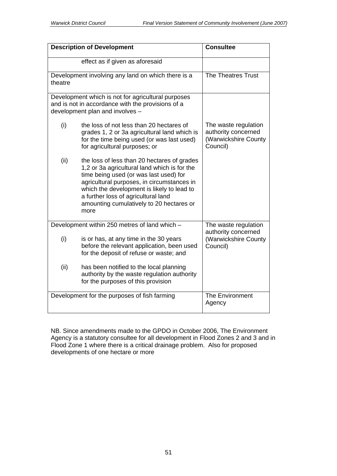| <b>Description of Development</b>                             |                                                                                                                                                                                                                                                                                                                              | <b>Consultee</b>                                                                |
|---------------------------------------------------------------|------------------------------------------------------------------------------------------------------------------------------------------------------------------------------------------------------------------------------------------------------------------------------------------------------------------------------|---------------------------------------------------------------------------------|
|                                                               | effect as if given as aforesaid                                                                                                                                                                                                                                                                                              |                                                                                 |
| Development involving any land on which there is a<br>theatre |                                                                                                                                                                                                                                                                                                                              | The Theatres Trust                                                              |
|                                                               | Development which is not for agricultural purposes<br>and is not in accordance with the provisions of a<br>development plan and involves -                                                                                                                                                                                   |                                                                                 |
| (i)                                                           | the loss of not less than 20 hectares of<br>grades 1, 2 or 3a agricultural land which is<br>for the time being used (or was last used)<br>for agricultural purposes; or                                                                                                                                                      | The waste regulation<br>authority concerned<br>(Warwickshire County<br>Council) |
| (ii)                                                          | the loss of less than 20 hectares of grades<br>1,2 or 3a agricultural land which is for the<br>time being used (or was last used) for<br>agricultural purposes, in circumstances in<br>which the development is likely to lead to<br>a further loss of agricultural land<br>amounting cumulatively to 20 hectares or<br>more |                                                                                 |
| Development within 250 metres of land which -                 |                                                                                                                                                                                                                                                                                                                              | The waste regulation<br>authority concerned                                     |
| (i)                                                           | is or has, at any time in the 30 years<br>before the relevant application, been used<br>for the deposit of refuse or waste; and                                                                                                                                                                                              | (Warwickshire County<br>Council)                                                |
| (ii)                                                          | has been notified to the local planning<br>authority by the waste regulation authority<br>for the purposes of this provision                                                                                                                                                                                                 |                                                                                 |
|                                                               | Development for the purposes of fish farming                                                                                                                                                                                                                                                                                 | <b>The Environment</b><br>Agency                                                |

NB. Since amendments made to the GPDO in October 2006, The Environment Agency is a statutory consultee for all development in Flood Zones 2 and 3 and in Flood Zone 1 where there is a critical drainage problem. Also for proposed developments of one hectare or more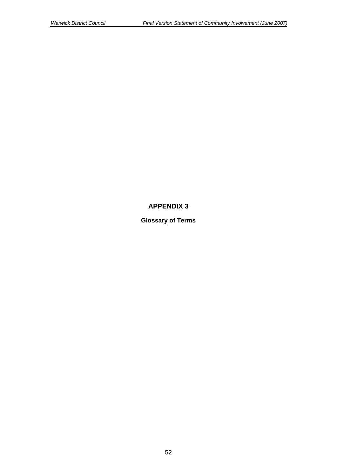## **APPENDIX 3**

**Glossary of Terms**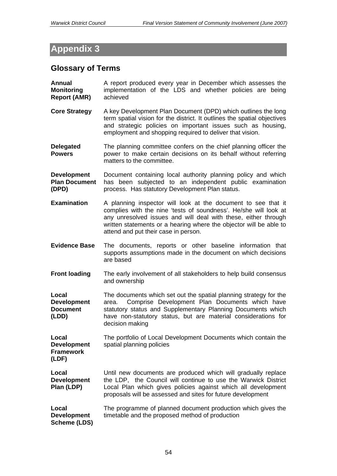# **Appendix 3**

# **Glossary of Terms**

| Annual<br><b>Monitoring</b><br><b>Report (AMR)</b>       | A report produced every year in December which assesses the<br>implementation of the LDS and whether policies are being<br>achieved                                                                                                                                                                               |
|----------------------------------------------------------|-------------------------------------------------------------------------------------------------------------------------------------------------------------------------------------------------------------------------------------------------------------------------------------------------------------------|
| <b>Core Strategy</b>                                     | A key Development Plan Document (DPD) which outlines the long<br>term spatial vision for the district. It outlines the spatial objectives<br>and strategic policies on important issues such as housing,<br>employment and shopping required to deliver that vision.                                              |
| <b>Delegated</b><br><b>Powers</b>                        | The planning committee confers on the chief planning officer the<br>power to make certain decisions on its behalf without referring<br>matters to the committee.                                                                                                                                                  |
| <b>Development</b><br><b>Plan Document</b><br>(DPD)      | Document containing local authority planning policy and which<br>has been subjected to an independent public examination<br>process. Has statutory Development Plan status.                                                                                                                                       |
| <b>Examination</b>                                       | A planning inspector will look at the document to see that it<br>complies with the nine 'tests of soundness'. He/she will look at<br>any unresolved issues and will deal with these, either through<br>written statements or a hearing where the objector will be able to<br>attend and put their case in person. |
| <b>Evidence Base</b>                                     | The documents, reports or other baseline information that<br>supports assumptions made in the document on which decisions<br>are based                                                                                                                                                                            |
| <b>Front loading</b>                                     | The early involvement of all stakeholders to help build consensus<br>and ownership                                                                                                                                                                                                                                |
| Local<br><b>Development</b><br><b>Document</b><br>(LDD)  | The documents which set out the spatial planning strategy for the<br>Comprise Development Plan Documents which have<br>area.<br>statutory status and Supplementary Planning Documents which<br>have non-statutory status, but are material considerations for<br>decision making                                  |
| Local<br><b>Development</b><br><b>Framework</b><br>(LDF) | The portfolio of Local Development Documents which contain the<br>spatial planning policies                                                                                                                                                                                                                       |
| Local<br><b>Development</b><br>Plan (LDP)                | Until new documents are produced which will gradually replace<br>the LDP, the Council will continue to use the Warwick District<br>Local Plan which gives policies against which all development<br>proposals will be assessed and sites for future development                                                   |
| Local<br><b>Development</b><br><b>Scheme (LDS)</b>       | The programme of planned document production which gives the<br>timetable and the proposed method of production                                                                                                                                                                                                   |